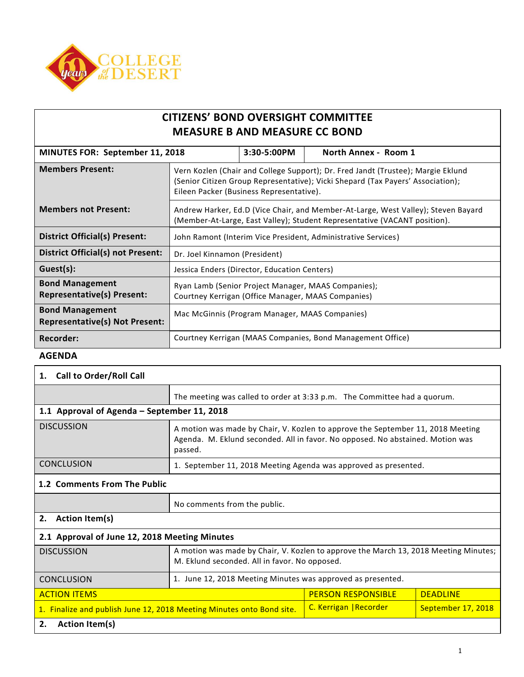

| <b>CITIZENS' BOND OVERSIGHT COMMITTEE</b> |
|-------------------------------------------|
| <b>MEASURE B AND MEASURE CC BOND</b>      |

|                                                                 | MINUTES FOR: September 11, 2018<br>3:30-5:00PM                                                                                                                                                                  |  | North Annex - Room 1 |
|-----------------------------------------------------------------|-----------------------------------------------------------------------------------------------------------------------------------------------------------------------------------------------------------------|--|----------------------|
| <b>Members Present:</b>                                         | Vern Kozlen (Chair and College Support); Dr. Fred Jandt (Trustee); Margie Eklund<br>(Senior Citizen Group Representative); Vicki Shepard (Tax Payers' Association);<br>Eileen Packer (Business Representative). |  |                      |
| <b>Members not Present:</b>                                     | Andrew Harker, Ed.D (Vice Chair, and Member-At-Large, West Valley); Steven Bayard<br>(Member-At-Large, East Valley); Student Representative (VACANT position).                                                  |  |                      |
| District Official(s) Present:                                   | John Ramont (Interim Vice President, Administrative Services)                                                                                                                                                   |  |                      |
| <b>District Official(s) not Present:</b>                        | Dr. Joel Kinnamon (President)                                                                                                                                                                                   |  |                      |
| Guest(s):                                                       | Jessica Enders (Director, Education Centers)                                                                                                                                                                    |  |                      |
| <b>Bond Management</b><br><b>Representative(s) Present:</b>     | Ryan Lamb (Senior Project Manager, MAAS Companies);<br>Courtney Kerrigan (Office Manager, MAAS Companies)                                                                                                       |  |                      |
| <b>Bond Management</b><br><b>Representative(s) Not Present:</b> | Mac McGinnis (Program Manager, MAAS Companies)                                                                                                                                                                  |  |                      |
| Recorder:                                                       | Courtney Kerrigan (MAAS Companies, Bond Management Office)                                                                                                                                                      |  |                      |

## **AGENDA**

| 1. Call to Order/Roll Call                                            |                                                                                                                                                                              |                           |                    |
|-----------------------------------------------------------------------|------------------------------------------------------------------------------------------------------------------------------------------------------------------------------|---------------------------|--------------------|
|                                                                       | The meeting was called to order at 3:33 p.m. The Committee had a quorum.                                                                                                     |                           |                    |
| 1.1 Approval of Agenda - September 11, 2018                           |                                                                                                                                                                              |                           |                    |
| <b>DISCUSSION</b>                                                     | A motion was made by Chair, V. Kozlen to approve the September 11, 2018 Meeting<br>Agenda. M. Eklund seconded. All in favor. No opposed. No abstained. Motion was<br>passed. |                           |                    |
| <b>CONCLUSION</b>                                                     | 1. September 11, 2018 Meeting Agenda was approved as presented.                                                                                                              |                           |                    |
| 1.2 Comments From The Public                                          |                                                                                                                                                                              |                           |                    |
|                                                                       | No comments from the public.                                                                                                                                                 |                           |                    |
| 2.<br><b>Action Item(s)</b>                                           |                                                                                                                                                                              |                           |                    |
| 2.1 Approval of June 12, 2018 Meeting Minutes                         |                                                                                                                                                                              |                           |                    |
| <b>DISCUSSION</b>                                                     | A motion was made by Chair, V. Kozlen to approve the March 13, 2018 Meeting Minutes;<br>M. Eklund seconded. All in favor. No opposed.                                        |                           |                    |
| <b>CONCLUSION</b>                                                     | 1. June 12, 2018 Meeting Minutes was approved as presented.                                                                                                                  |                           |                    |
| <b>ACTION ITEMS</b>                                                   |                                                                                                                                                                              | <b>PERSON RESPONSIBLE</b> | <b>DEADLINE</b>    |
| 1. Finalize and publish June 12, 2018 Meeting Minutes onto Bond site. |                                                                                                                                                                              | C. Kerrigan   Recorder    | September 17, 2018 |
| 2.<br><b>Action Item(s)</b>                                           |                                                                                                                                                                              |                           |                    |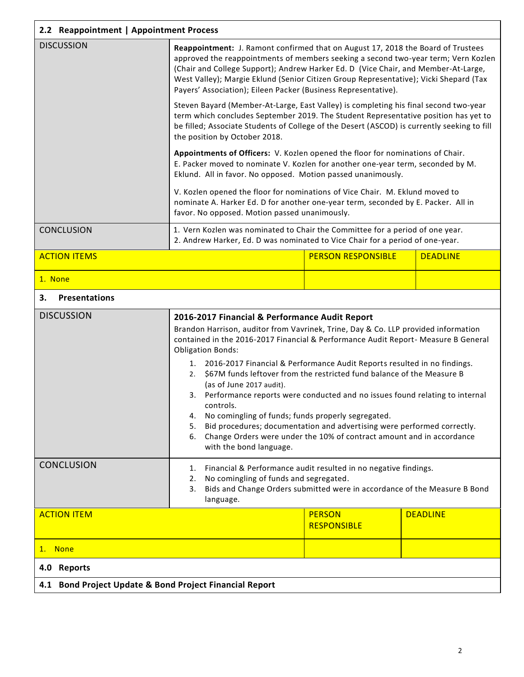| 2.2 Reappointment   Appointment Process                 |                                                                                                                                                                                                                                                                                                                                                                                                                                                                                                                                                                                                                                                                                                                                                                                                   |                                     |                 |  |
|---------------------------------------------------------|---------------------------------------------------------------------------------------------------------------------------------------------------------------------------------------------------------------------------------------------------------------------------------------------------------------------------------------------------------------------------------------------------------------------------------------------------------------------------------------------------------------------------------------------------------------------------------------------------------------------------------------------------------------------------------------------------------------------------------------------------------------------------------------------------|-------------------------------------|-----------------|--|
| <b>DISCUSSION</b>                                       | Reappointment: J. Ramont confirmed that on August 17, 2018 the Board of Trustees<br>approved the reappointments of members seeking a second two-year term; Vern Kozlen<br>(Chair and College Support); Andrew Harker Ed. D (Vice Chair, and Member-At-Large,<br>West Valley); Margie Eklund (Senior Citizen Group Representative); Vicki Shepard (Tax<br>Payers' Association); Eileen Packer (Business Representative).                                                                                                                                                                                                                                                                                                                                                                           |                                     |                 |  |
|                                                         | Steven Bayard (Member-At-Large, East Valley) is completing his final second two-year<br>term which concludes September 2019. The Student Representative position has yet to<br>be filled; Associate Students of College of the Desert (ASCOD) is currently seeking to fill<br>the position by October 2018.                                                                                                                                                                                                                                                                                                                                                                                                                                                                                       |                                     |                 |  |
|                                                         | Appointments of Officers: V. Kozlen opened the floor for nominations of Chair.<br>E. Packer moved to nominate V. Kozlen for another one-year term, seconded by M.<br>Eklund. All in favor. No opposed. Motion passed unanimously.                                                                                                                                                                                                                                                                                                                                                                                                                                                                                                                                                                 |                                     |                 |  |
|                                                         | V. Kozlen opened the floor for nominations of Vice Chair. M. Eklund moved to<br>nominate A. Harker Ed. D for another one-year term, seconded by E. Packer. All in<br>favor. No opposed. Motion passed unanimously.                                                                                                                                                                                                                                                                                                                                                                                                                                                                                                                                                                                |                                     |                 |  |
| <b>CONCLUSION</b>                                       | 1. Vern Kozlen was nominated to Chair the Committee for a period of one year.<br>2. Andrew Harker, Ed. D was nominated to Vice Chair for a period of one-year.                                                                                                                                                                                                                                                                                                                                                                                                                                                                                                                                                                                                                                    |                                     |                 |  |
| <b>ACTION ITEMS</b>                                     |                                                                                                                                                                                                                                                                                                                                                                                                                                                                                                                                                                                                                                                                                                                                                                                                   | <b>PERSON RESPONSIBLE</b>           | <b>DEADLINE</b> |  |
| 1. None                                                 |                                                                                                                                                                                                                                                                                                                                                                                                                                                                                                                                                                                                                                                                                                                                                                                                   |                                     |                 |  |
| <b>Presentations</b><br>3.                              |                                                                                                                                                                                                                                                                                                                                                                                                                                                                                                                                                                                                                                                                                                                                                                                                   |                                     |                 |  |
| <b>DISCUSSION</b>                                       | 2016-2017 Financial & Performance Audit Report<br>Brandon Harrison, auditor from Vavrinek, Trine, Day & Co. LLP provided information<br>contained in the 2016-2017 Financial & Performance Audit Report- Measure B General<br><b>Obligation Bonds:</b><br>1. 2016-2017 Financial & Performance Audit Reports resulted in no findings.<br>2. \$67M funds leftover from the restricted fund balance of the Measure B<br>(as of June 2017 audit).<br>3. Performance reports were conducted and no issues found relating to internal<br>controls.<br>No comingling of funds; funds properly segregated.<br>4.<br>Bid procedures; documentation and advertising were performed correctly.<br>5.<br>6. Change Orders were under the 10% of contract amount and in accordance<br>with the bond language. |                                     |                 |  |
|                                                         |                                                                                                                                                                                                                                                                                                                                                                                                                                                                                                                                                                                                                                                                                                                                                                                                   |                                     |                 |  |
| <b>CONCLUSION</b>                                       | 1. Financial & Performance audit resulted in no negative findings.<br>No comingling of funds and segregated.<br>2.<br>Bids and Change Orders submitted were in accordance of the Measure B Bond<br>3.<br>language.                                                                                                                                                                                                                                                                                                                                                                                                                                                                                                                                                                                |                                     |                 |  |
| <b>ACTION ITEM</b>                                      |                                                                                                                                                                                                                                                                                                                                                                                                                                                                                                                                                                                                                                                                                                                                                                                                   | <b>PERSON</b><br><b>RESPONSIBLE</b> | <b>DEADLINE</b> |  |
| 1. None                                                 |                                                                                                                                                                                                                                                                                                                                                                                                                                                                                                                                                                                                                                                                                                                                                                                                   |                                     |                 |  |
| 4.0 Reports                                             |                                                                                                                                                                                                                                                                                                                                                                                                                                                                                                                                                                                                                                                                                                                                                                                                   |                                     |                 |  |
| 4.1 Bond Project Update & Bond Project Financial Report |                                                                                                                                                                                                                                                                                                                                                                                                                                                                                                                                                                                                                                                                                                                                                                                                   |                                     |                 |  |